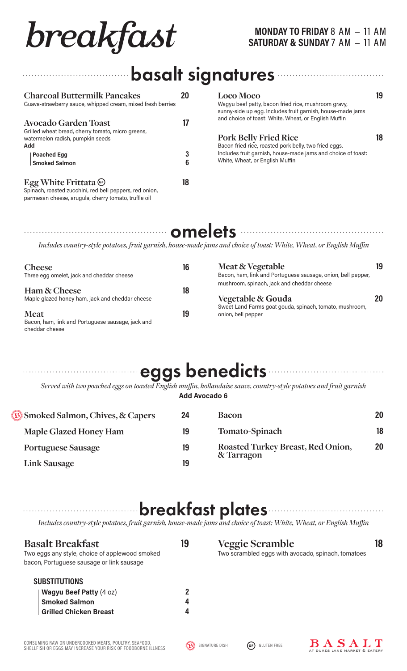# **breakfast MONDAY TO FRIDAY 8 AM – 11 AM**

## basalt signatures

| <b>Charcoal Buttermilk Pancakes</b><br>Guava-strawberry sauce, whipped cream, mixed fresh berries                                                    |               | <b>Loco Moco</b><br>Wagyu beef patty, bacon fried rice, mushroom gravy,<br>sunny-side up egg. Includes fruit garnish, house-made jams | 19 |
|------------------------------------------------------------------------------------------------------------------------------------------------------|---------------|---------------------------------------------------------------------------------------------------------------------------------------|----|
| <b>Avocado Garden Toast</b><br>Grilled wheat bread, cherry tomato, micro greens,                                                                     | $\mathsf{I}7$ | and choice of toast: White, Wheat, or English Muffin                                                                                  |    |
| watermelon radish, pumpkin seeds<br>Add                                                                                                              |               | <b>Pork Belly Fried Rice</b><br>Bacon fried rice, roasted pork belly, two fried eggs.                                                 |    |
| <b>Poached Egg</b>                                                                                                                                   | 3             | Includes fruit garnish, house-made jams and choice of toast:                                                                          |    |
| <b>Smoked Salmon</b>                                                                                                                                 | 6             | White, Wheat, or English Muffin                                                                                                       |    |
| Egg White Frittata $\circledcirc$<br>Spinach, roasted zucchini, red bell peppers, red onion,<br>parmesan cheese, arugula, cherry tomato, truffle oil | 18            |                                                                                                                                       |    |

## omelets **contracts**

*Includes country-style potatoes, fruit garnish, house-made jams and choice of toast: White, Wheat, or English Muffin*

| <b>Cheese</b>                                     | 16 | Meat & Vegetable                                                              | 19 |
|---------------------------------------------------|----|-------------------------------------------------------------------------------|----|
| Three egg omelet, jack and cheddar cheese         |    | Bacon, ham, link and Portuguese sausage, onion, bell pepper,                  |    |
| Ham & Cheese                                      | 18 | mushroom, spinach, jack and cheddar cheese                                    |    |
| Maple glazed honey ham, jack and cheddar cheese   |    | <b>Vegetable &amp; Gouda</b>                                                  |    |
| <b>Meat</b>                                       | 19 | Sweet Land Farms goat gouda, spinach, tomato, mushroom,<br>onion, bell pepper |    |
|                                                   |    |                                                                               |    |
| Bacon, ham, link and Portuguese sausage, jack and |    |                                                                               |    |
| cheddar cheese                                    |    |                                                                               |    |

## eggs benedicts

*Served with two poached eggs on toasted English muffin, hollandaise sauce, country-style potatoes and fruit garnish* **Add Avocado 6**

| <b>B</b> Smoked Salmon, Chives, & Capers | 24 | <b>Bacon</b>                                    | 20 |
|------------------------------------------|----|-------------------------------------------------|----|
| Maple Glazed Honey Ham                   | 19 | <b>Tomato-Spinach</b>                           | 18 |
| <b>Portuguese Sausage</b>                | 19 | Roasted Turkey Breast, Red Onion,<br>& Tarragon | 20 |
| <b>Link Sausage</b>                      | 19 |                                                 |    |
|                                          |    |                                                 |    |

## breakfast plates

*Includes country-style potatoes, fruit garnish, house-made jams and choice of toast: White, Wheat, or English Muffin*

| <b>Basalt Breakfast</b><br>Two eggs any style, choice of applewood smoked<br>bacon, Portuguese sausage or link sausage | 19     | <b>Veggie Scramble</b><br>Two scrambled eggs with avocado, spinach, tomatoes |  |
|------------------------------------------------------------------------------------------------------------------------|--------|------------------------------------------------------------------------------|--|
| <b>SUBSTITUTIONS</b><br>Wagyu Beef Patty (4 oz)<br><b>Smoked Salmon</b><br><b>Grilled Chicken Breast</b>               | 4<br>4 |                                                                              |  |
|                                                                                                                        |        |                                                                              |  |